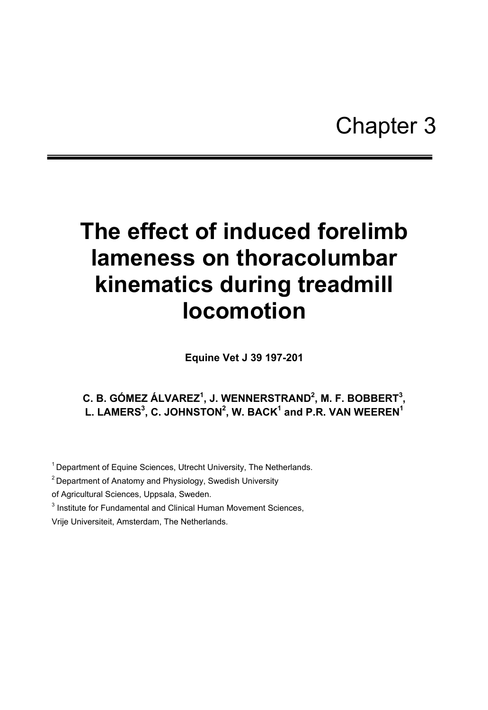# **The effect of induced forelimb lameness on thoracolumbar kinematics during treadmill locomotion**

**Equine Vet J 39 197-201** 

# **C. B. GÓMEZ ÁLVAREZ<sup>1</sup>, J. WENNERSTRAND<sup>2</sup>, M. F. BOBBERT<sup>3</sup>,** L. LAMERS $^3$ , C. JOHNSTON $^2$ , W. BACK $^1$  and P.R. VAN WEEREN $^1$

<sup>1</sup> Department of Equine Sciences, Utrecht University, The Netherlands.

<sup>2</sup> Department of Anatomy and Physiology, Swedish University

of Agricultural Sciences, Uppsala, Sweden.

<sup>3</sup> Institute for Fundamental and Clinical Human Movement Sciences,

Vrije Universiteit, Amsterdam, The Netherlands.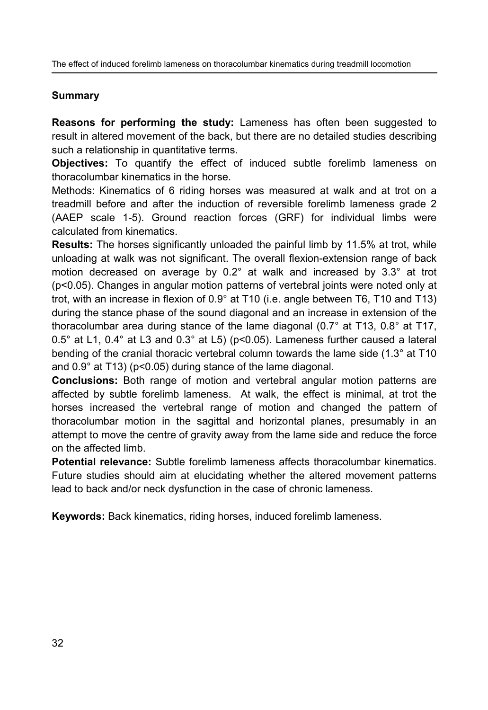The effect of induced forelimb lameness on thoracolumbar kinematics during treadmill locomotion

## **Summary**

**Reasons for performing the study:** Lameness has often been suggested to result in altered movement of the back, but there are no detailed studies describing such a relationship in quantitative terms.

**Objectives:** To quantify the effect of induced subtle forelimb lameness on thoracolumbar kinematics in the horse.

Methods: Kinematics of 6 riding horses was measured at walk and at trot on a treadmill before and after the induction of reversible forelimb lameness grade 2 (AAEP scale 1-5). Ground reaction forces (GRF) for individual limbs were calculated from kinematics.

**Results:** The horses significantly unloaded the painful limb by 11.5% at trot, while unloading at walk was not significant. The overall flexion-extension range of back motion decreased on average by 0.2° at walk and increased by 3.3° at trot (p<0.05). Changes in angular motion patterns of vertebral joints were noted only at trot, with an increase in flexion of 0.9° at T10 (i.e. angle between T6, T10 and T13) during the stance phase of the sound diagonal and an increase in extension of the thoracolumbar area during stance of the lame diagonal (0.7° at T13, 0.8° at T17,  $0.5^\circ$  at L1,  $0.4^\circ$  at L3 and  $0.3^\circ$  at L5) (p<0.05). Lameness further caused a lateral bending of the cranial thoracic vertebral column towards the lame side (1.3° at T10 and 0.9° at T13) (p<0.05) during stance of the lame diagonal.

**Conclusions:** Both range of motion and vertebral angular motion patterns are affected by subtle forelimb lameness. At walk, the effect is minimal, at trot the horses increased the vertebral range of motion and changed the pattern of thoracolumbar motion in the sagittal and horizontal planes, presumably in an attempt to move the centre of gravity away from the lame side and reduce the force on the affected limb.

**Potential relevance:** Subtle forelimb lameness affects thoracolumbar kinematics. Future studies should aim at elucidating whether the altered movement patterns lead to back and/or neck dysfunction in the case of chronic lameness.

**Keywords:** Back kinematics, riding horses, induced forelimb lameness.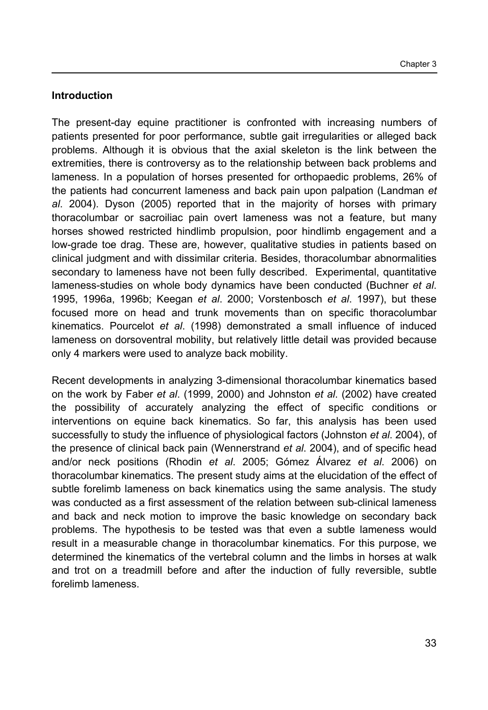## **Introduction**

The present-day equine practitioner is confronted with increasing numbers of patients presented for poor performance, subtle gait irregularities or alleged back problems. Although it is obvious that the axial skeleton is the link between the extremities, there is controversy as to the relationship between back problems and lameness. In a population of horses presented for orthopaedic problems, 26% of the patients had concurrent lameness and back pain upon palpation (Landman *et al*. 2004). Dyson (2005) reported that in the majority of horses with primary thoracolumbar or sacroiliac pain overt lameness was not a feature, but many horses showed restricted hindlimb propulsion, poor hindlimb engagement and a low-grade toe drag. These are, however, qualitative studies in patients based on clinical judgment and with dissimilar criteria. Besides, thoracolumbar abnormalities secondary to lameness have not been fully described. Experimental, quantitative lameness-studies on whole body dynamics have been conducted (Buchner *et al*. 1995, 1996a, 1996b; Keegan *et al*. 2000; Vorstenbosch *et al*. 1997), but these focused more on head and trunk movements than on specific thoracolumbar kinematics. Pourcelot *et al*. (1998) demonstrated a small influence of induced lameness on dorsoventral mobility, but relatively little detail was provided because only 4 markers were used to analyze back mobility.

Recent developments in analyzing 3-dimensional thoracolumbar kinematics based on the work by Faber *et al*. (1999, 2000) and Johnston *et al*. (2002) have created the possibility of accurately analyzing the effect of specific conditions or interventions on equine back kinematics. So far, this analysis has been used successfully to study the influence of physiological factors (Johnston *et al*. 2004), of the presence of clinical back pain (Wennerstrand *et al*. 2004), and of specific head and/or neck positions (Rhodin *et al*. 2005; Gómez Álvarez *et al*. 2006) on thoracolumbar kinematics. The present study aims at the elucidation of the effect of subtle forelimb lameness on back kinematics using the same analysis. The study was conducted as a first assessment of the relation between sub-clinical lameness and back and neck motion to improve the basic knowledge on secondary back problems. The hypothesis to be tested was that even a subtle lameness would result in a measurable change in thoracolumbar kinematics. For this purpose, we determined the kinematics of the vertebral column and the limbs in horses at walk and trot on a treadmill before and after the induction of fully reversible, subtle forelimb lameness.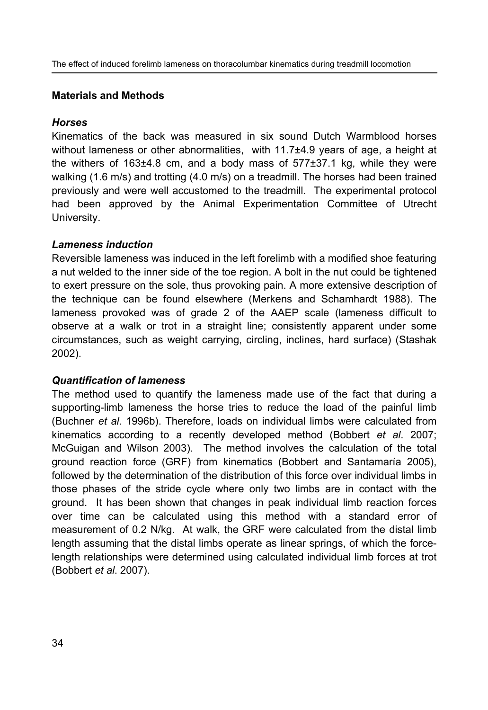## **Materials and Methods**

## *Horses*

Kinematics of the back was measured in six sound Dutch Warmblood horses without lameness or other abnormalities, with 11.7±4.9 years of age, a height at the withers of  $163\pm4.8$  cm, and a body mass of  $577\pm37.1$  kg, while they were walking (1.6 m/s) and trotting (4.0 m/s) on a treadmill. The horses had been trained previously and were well accustomed to the treadmill. The experimental protocol had been approved by the Animal Experimentation Committee of Utrecht University.

## *Lameness induction*

Reversible lameness was induced in the left forelimb with a modified shoe featuring a nut welded to the inner side of the toe region. A bolt in the nut could be tightened to exert pressure on the sole, thus provoking pain. A more extensive description of the technique can be found elsewhere (Merkens and Schamhardt 1988). The lameness provoked was of grade 2 of the AAEP scale (lameness difficult to observe at a walk or trot in a straight line; consistently apparent under some circumstances, such as weight carrying, circling, inclines, hard surface) (Stashak 2002).

## *Quantification of lameness*

The method used to quantify the lameness made use of the fact that during a supporting-limb lameness the horse tries to reduce the load of the painful limb (Buchner *et al*. 1996b). Therefore, loads on individual limbs were calculated from kinematics according to a recently developed method (Bobbert *et al*. 2007; McGuigan and Wilson 2003). The method involves the calculation of the total ground reaction force (GRF) from kinematics (Bobbert and Santamaría 2005), followed by the determination of the distribution of this force over individual limbs in those phases of the stride cycle where only two limbs are in contact with the ground. It has been shown that changes in peak individual limb reaction forces over time can be calculated using this method with a standard error of measurement of 0.2 N/kg. At walk, the GRF were calculated from the distal limb length assuming that the distal limbs operate as linear springs, of which the forcelength relationships were determined using calculated individual limb forces at trot (Bobbert *et al*. 2007).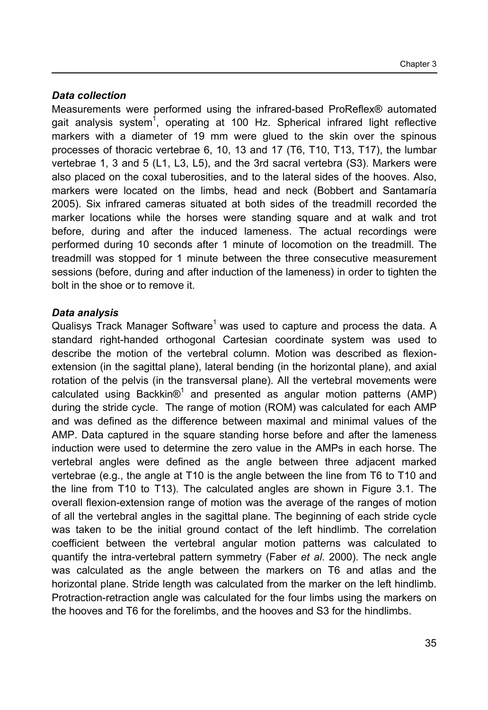## *Data collection*

Measurements were performed using the infrared-based ProReflex® automated gait analysis system<sup>1</sup>, operating at 100 Hz. Spherical infrared light reflective markers with a diameter of 19 mm were glued to the skin over the spinous processes of thoracic vertebrae 6, 10, 13 and 17 (T6, T10, T13, T17), the lumbar vertebrae 1, 3 and 5 (L1, L3, L5), and the 3rd sacral vertebra (S3). Markers were also placed on the coxal tuberosities, and to the lateral sides of the hooves. Also, markers were located on the limbs, head and neck (Bobbert and Santamaría 2005). Six infrared cameras situated at both sides of the treadmill recorded the marker locations while the horses were standing square and at walk and trot before, during and after the induced lameness. The actual recordings were performed during 10 seconds after 1 minute of locomotion on the treadmill. The treadmill was stopped for 1 minute between the three consecutive measurement sessions (before, during and after induction of the lameness) in order to tighten the bolt in the shoe or to remove it.

## *Data analysis*

Qualisys Track Manager Software<sup>1</sup> was used to capture and process the data. A standard right-handed orthogonal Cartesian coordinate system was used to describe the motion of the vertebral column. Motion was described as flexionextension (in the sagittal plane), lateral bending (in the horizontal plane), and axial rotation of the pelvis (in the transversal plane). All the vertebral movements were calculated using Backkin $\mathcal{O}^1$  and presented as angular motion patterns (AMP) during the stride cycle. The range of motion (ROM) was calculated for each AMP and was defined as the difference between maximal and minimal values of the AMP. Data captured in the square standing horse before and after the lameness induction were used to determine the zero value in the AMPs in each horse. The vertebral angles were defined as the angle between three adjacent marked vertebrae (e.g., the angle at T10 is the angle between the line from T6 to T10 and the line from T10 to T13). The calculated angles are shown in Figure 3.1. The overall flexion-extension range of motion was the average of the ranges of motion of all the vertebral angles in the sagittal plane. The beginning of each stride cycle was taken to be the initial ground contact of the left hindlimb. The correlation coefficient between the vertebral angular motion patterns was calculated to quantify the intra-vertebral pattern symmetry (Faber *et al*. 2000). The neck angle was calculated as the angle between the markers on T6 and atlas and the horizontal plane. Stride length was calculated from the marker on the left hindlimb. Protraction-retraction angle was calculated for the four limbs using the markers on the hooves and T6 for the forelimbs, and the hooves and S3 for the hindlimbs.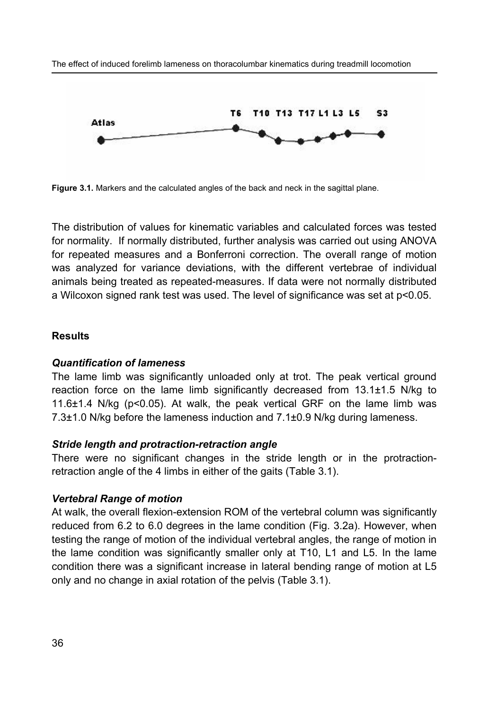

**Figure 3.1.** Markers and the calculated angles of the back and neck in the sagittal plane.

The distribution of values for kinematic variables and calculated forces was tested for normality. If normally distributed, further analysis was carried out using ANOVA for repeated measures and a Bonferroni correction. The overall range of motion was analyzed for variance deviations, with the different vertebrae of individual animals being treated as repeated-measures. If data were not normally distributed a Wilcoxon signed rank test was used. The level of significance was set at p<0.05.

#### **Results**

#### *Quantification of lameness*

The lame limb was significantly unloaded only at trot. The peak vertical ground reaction force on the lame limb significantly decreased from 13.1±1.5 N/kg to 11.6 $\pm$ 1.4 N/kg (p<0.05). At walk, the peak vertical GRF on the lame limb was 7.3±1.0 N/kg before the lameness induction and 7.1±0.9 N/kg during lameness.

#### *Stride length and protraction-retraction angle*

There were no significant changes in the stride length or in the protractionretraction angle of the 4 limbs in either of the gaits (Table 3.1).

#### *Vertebral Range of motion*

At walk, the overall flexion-extension ROM of the vertebral column was significantly reduced from 6.2 to 6.0 degrees in the lame condition (Fig. 3.2a). However, when testing the range of motion of the individual vertebral angles, the range of motion in the lame condition was significantly smaller only at T10, L1 and L5. In the lame condition there was a significant increase in lateral bending range of motion at L5 only and no change in axial rotation of the pelvis (Table 3.1).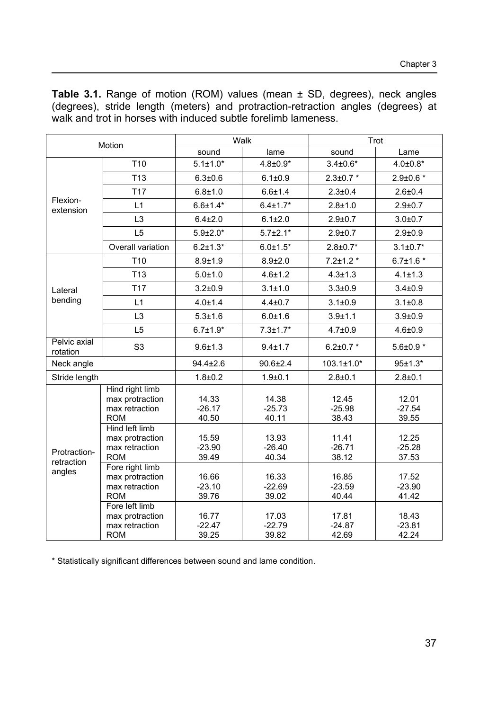**Table 3.1.** Range of motion (ROM) values (mean ± SD, degrees), neck angles (degrees), stride length (meters) and protraction-retraction angles (degrees) at walk and trot in horses with induced subtle forelimb lameness.

| Motion                               |                                                                    | Walk                       |                            | Trot                       |                            |
|--------------------------------------|--------------------------------------------------------------------|----------------------------|----------------------------|----------------------------|----------------------------|
|                                      |                                                                    | sound                      | lame                       | sound                      | Lame                       |
| Flexion-<br>extension                | T <sub>10</sub>                                                    | $5.1 \pm 1.0^*$            | $4.8 \pm 0.9*$             | $3.4{\pm}0.6*$             | $4.0{\pm}0.8*$             |
|                                      | T <sub>13</sub>                                                    | $6.3 + 0.6$                | $6.1 \pm 0.9$              | $2.3 \pm 0.7$ *            | $2.9 \pm 0.6$ *            |
|                                      | T <sub>17</sub>                                                    | $6.8 + 1.0$                | $6.6 + 1.4$                | $2.3 \pm 0.4$              | $2.6 + 0.4$                |
|                                      | L1                                                                 | $6.6{\pm}1.4*$             | $6.4 \pm 1.7*$             | $2.8 + 1.0$                | $2.9 + 0.7$                |
|                                      | L <sub>3</sub>                                                     | $6.4{\pm}2.0$              | $6.1 \pm 2.0$              | $2.9 + 0.7$                | $3.0 + 0.7$                |
|                                      | L <sub>5</sub>                                                     | $5.9{\pm}2.0*$             | $5.7 \pm 2.1*$             | $2.9 + 0.7$                | $2.9 + 0.9$                |
|                                      | Overall variation                                                  | $6.2 \pm 1.3*$             | $6.0 \pm 1.5^*$            | $2.8 \pm 0.7*$             | $3.1 \pm 0.7*$             |
| Lateral<br>bending                   | T <sub>10</sub>                                                    | $8.9 + 1.9$                | $8.9{\pm}2.0$              | $7.2 \pm 1.2$ *            | $6.7 \pm 1.6*$             |
|                                      | T <sub>13</sub>                                                    | $5.0 + 1.0$                | $4.6 \pm 1.2$              | $4.3 \pm 1.3$              | $4.1 \pm 1.3$              |
|                                      | <b>T17</b>                                                         | $3.2 + 0.9$                | $3.1 \pm 1.0$              | $3.3 + 0.9$                | $3.4 + 0.9$                |
|                                      | L1                                                                 | $4.0 \pm 1.4$              | $4.4 \pm 0.7$              | $3.1 \pm 0.9$              | $3.1 \pm 0.8$              |
|                                      | L <sub>3</sub>                                                     | $5.3 + 1.6$                | $6.0 + 1.6$                | $3.9 + 1.1$                | $3.9 + 0.9$                |
|                                      | L <sub>5</sub>                                                     | $6.7 \pm 1.9*$             | $7.3 \pm 1.7*$             | $4.7{\pm}0.9$              | $4.6 + 0.9$                |
| Pelvic axial<br>rotation             | S <sub>3</sub>                                                     | $9.6 + 1.3$                | $9.4 \pm 1.7$              | $6.2 \pm 0.7$ *            | $5.6{\pm}0.9*$             |
| Neck angle                           |                                                                    | $94.4 \pm 2.6$             | $90.6 \pm 2.4$             | $103.1 \pm 1.0*$           | $95±1.3*$                  |
| Stride length                        |                                                                    | $1.8 + 0.2$                | $1.9 + 0.1$                | $2.8 + 0.1$                | $2.8 + 0.1$                |
| Protraction-<br>retraction<br>angles | Hind right limb<br>max protraction<br>max retraction<br><b>ROM</b> | 14.33<br>$-26.17$<br>40.50 | 14.38<br>$-25.73$<br>40.11 | 12.45<br>$-25.98$<br>38.43 | 12.01<br>$-27.54$<br>39.55 |
|                                      | Hind left limb<br>max protraction<br>max retraction<br><b>ROM</b>  | 15.59<br>$-23.90$<br>39.49 | 13.93<br>$-26.40$<br>40.34 | 11.41<br>$-26.71$<br>38.12 | 12.25<br>$-25.28$<br>37.53 |
|                                      | Fore right limb<br>max protraction<br>max retraction<br><b>ROM</b> | 16.66<br>$-23.10$<br>39.76 | 16.33<br>$-22.69$<br>39.02 | 16.85<br>$-23.59$<br>40.44 | 17.52<br>$-23.90$<br>41.42 |
|                                      | Fore left limb<br>max protraction<br>max retraction<br><b>ROM</b>  | 16.77<br>$-22.47$<br>39.25 | 17.03<br>$-22.79$<br>39.82 | 17.81<br>$-24.87$<br>42.69 | 18.43<br>$-23.81$<br>42.24 |

\* Statistically significant differences between sound and lame condition.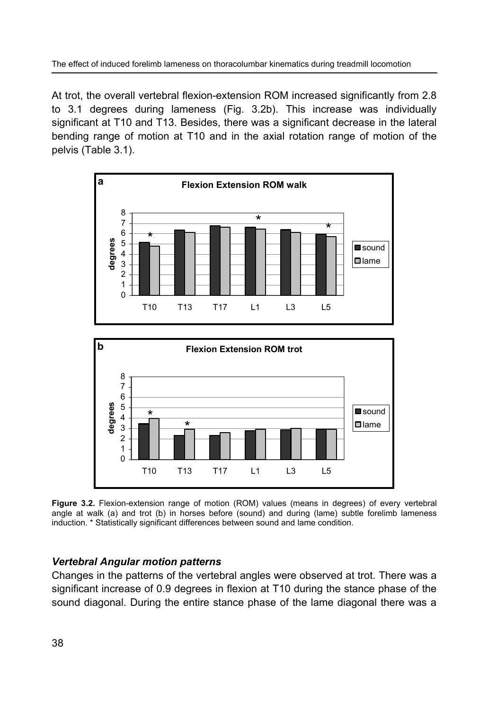At trot, the overall vertebral flexion-extension ROM increased significantly from 2.8 to 3.1 degrees during lameness (Fig. 3.2b). This increase was individually significant at T10 and T13. Besides, there was a significant decrease in the lateral bending range of motion at T10 and in the axial rotation range of motion of the pelvis (Table 3.1).



**Figure 3.2.** Flexion-extension range of motion (ROM) values (means in degrees) of every vertebral angle at walk (a) and trot (b) in horses before (sound) and during (lame) subtle forelimb lameness induction. \* Statistically significant differences between sound and lame condition.

## *Vertebral Angular motion patterns*

Changes in the patterns of the vertebral angles were observed at trot. There was a significant increase of 0.9 degrees in flexion at T10 during the stance phase of the sound diagonal. During the entire stance phase of the lame diagonal there was a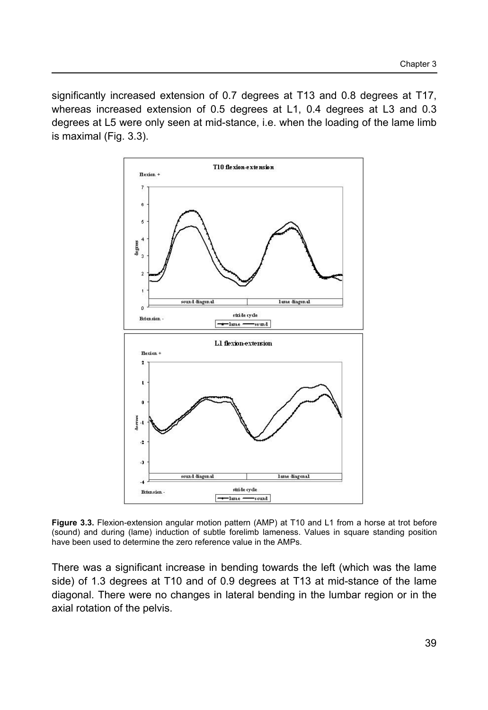significantly increased extension of 0.7 degrees at T13 and 0.8 degrees at T17, whereas increased extension of 0.5 degrees at L1, 0.4 degrees at L3 and 0.3 degrees at L5 were only seen at mid-stance, i.e. when the loading of the lame limb is maximal (Fig. 3.3).



**Figure 3.3.** Flexion-extension angular motion pattern (AMP) at T10 and L1 from a horse at trot before (sound) and during (lame) induction of subtle forelimb lameness. Values in square standing position have been used to determine the zero reference value in the AMPs.

There was a significant increase in bending towards the left (which was the lame side) of 1.3 degrees at T10 and of 0.9 degrees at T13 at mid-stance of the lame diagonal. There were no changes in lateral bending in the lumbar region or in the axial rotation of the pelvis.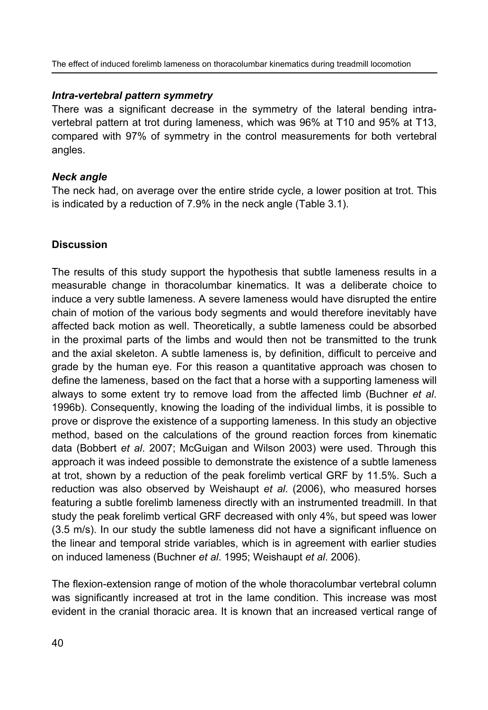The effect of induced forelimb lameness on thoracolumbar kinematics during treadmill locomotion

## *Intra-vertebral pattern symmetry*

There was a significant decrease in the symmetry of the lateral bending intravertebral pattern at trot during lameness, which was 96% at T10 and 95% at T13, compared with 97% of symmetry in the control measurements for both vertebral angles.

## *Neck angle*

The neck had, on average over the entire stride cycle, a lower position at trot. This is indicated by a reduction of 7.9% in the neck angle (Table 3.1).

## **Discussion**

The results of this study support the hypothesis that subtle lameness results in a measurable change in thoracolumbar kinematics. It was a deliberate choice to induce a very subtle lameness. A severe lameness would have disrupted the entire chain of motion of the various body segments and would therefore inevitably have affected back motion as well. Theoretically, a subtle lameness could be absorbed in the proximal parts of the limbs and would then not be transmitted to the trunk and the axial skeleton. A subtle lameness is, by definition, difficult to perceive and grade by the human eye. For this reason a quantitative approach was chosen to define the lameness, based on the fact that a horse with a supporting lameness will always to some extent try to remove load from the affected limb (Buchner *et al*. 1996b). Consequently, knowing the loading of the individual limbs, it is possible to prove or disprove the existence of a supporting lameness. In this study an objective method, based on the calculations of the ground reaction forces from kinematic data (Bobbert *et al*. 2007; McGuigan and Wilson 2003) were used. Through this approach it was indeed possible to demonstrate the existence of a subtle lameness at trot, shown by a reduction of the peak forelimb vertical GRF by 11.5%. Such a reduction was also observed by Weishaupt *et al*. (2006), who measured horses featuring a subtle forelimb lameness directly with an instrumented treadmill. In that study the peak forelimb vertical GRF decreased with only 4%, but speed was lower (3.5 m/s). In our study the subtle lameness did not have a significant influence on the linear and temporal stride variables, which is in agreement with earlier studies on induced lameness (Buchner *et al*. 1995; Weishaupt *et al*. 2006).

The flexion-extension range of motion of the whole thoracolumbar vertebral column was significantly increased at trot in the lame condition. This increase was most evident in the cranial thoracic area. It is known that an increased vertical range of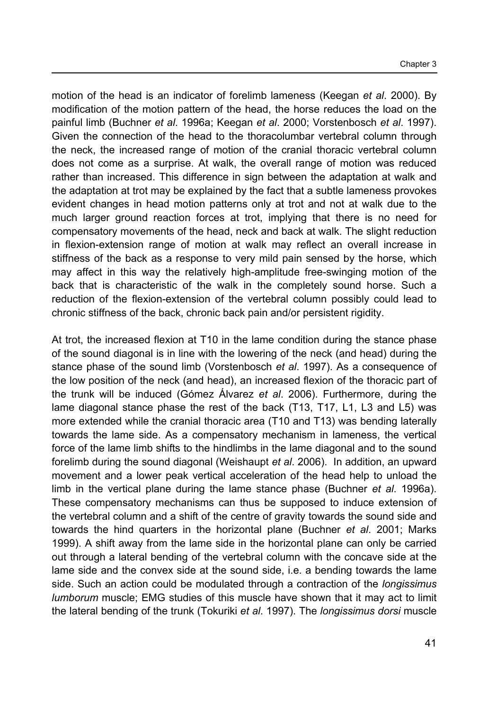motion of the head is an indicator of forelimb lameness (Keegan *et al*. 2000). By modification of the motion pattern of the head, the horse reduces the load on the painful limb (Buchner *et al*. 1996a; Keegan *et al*. 2000; Vorstenbosch *et al*. 1997). Given the connection of the head to the thoracolumbar vertebral column through the neck, the increased range of motion of the cranial thoracic vertebral column does not come as a surprise. At walk, the overall range of motion was reduced rather than increased. This difference in sign between the adaptation at walk and the adaptation at trot may be explained by the fact that a subtle lameness provokes evident changes in head motion patterns only at trot and not at walk due to the much larger ground reaction forces at trot, implying that there is no need for compensatory movements of the head, neck and back at walk. The slight reduction in flexion-extension range of motion at walk may reflect an overall increase in stiffness of the back as a response to very mild pain sensed by the horse, which may affect in this way the relatively high-amplitude free-swinging motion of the back that is characteristic of the walk in the completely sound horse. Such a reduction of the flexion-extension of the vertebral column possibly could lead to chronic stiffness of the back, chronic back pain and/or persistent rigidity.

At trot, the increased flexion at T10 in the lame condition during the stance phase of the sound diagonal is in line with the lowering of the neck (and head) during the stance phase of the sound limb (Vorstenbosch *et al*. 1997). As a consequence of the low position of the neck (and head), an increased flexion of the thoracic part of the trunk will be induced (Gómez Álvarez *et al*. 2006). Furthermore, during the lame diagonal stance phase the rest of the back (T13, T17, L1, L3 and L5) was more extended while the cranial thoracic area (T10 and T13) was bending laterally towards the lame side. As a compensatory mechanism in lameness, the vertical force of the lame limb shifts to the hindlimbs in the lame diagonal and to the sound forelimb during the sound diagonal (Weishaupt *et al*. 2006). In addition, an upward movement and a lower peak vertical acceleration of the head help to unload the limb in the vertical plane during the lame stance phase (Buchner *et al*. 1996a). These compensatory mechanisms can thus be supposed to induce extension of the vertebral column and a shift of the centre of gravity towards the sound side and towards the hind quarters in the horizontal plane (Buchner *et al*. 2001; Marks 1999). A shift away from the lame side in the horizontal plane can only be carried out through a lateral bending of the vertebral column with the concave side at the lame side and the convex side at the sound side, i.e. a bending towards the lame side. Such an action could be modulated through a contraction of the *longissimus lumborum* muscle; EMG studies of this muscle have shown that it may act to limit the lateral bending of the trunk (Tokuriki *et al*. 1997). The *longissimus dorsi* muscle